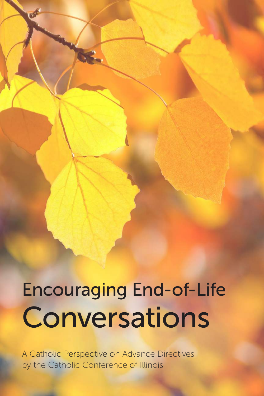# Encouraging End-of-Life Conversations

A Catholic Perspective on Advance Directives by the Catholic Conference of Illinois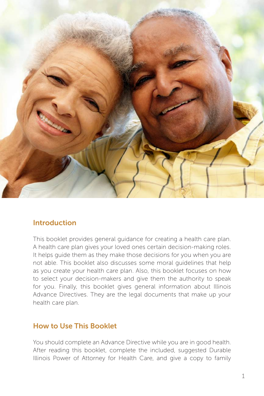

# Introduction

This booklet provides general guidance for creating a health care plan. A health care plan gives your loved ones certain decision-making roles. It helps guide them as they make those decisions for you when you are not able. This booklet also discusses some moral guidelines that help as you create your health care plan. Also, this booklet focuses on how to select your decision-makers and give them the authority to speak for you. Finally, this booklet gives general information about Illinois Advance Directives. They are the legal documents that make up your health care plan.

## How to Use This Booklet

You should complete an Advance Directive while you are in good health. After reading this booklet, complete the included, suggested Durable Illinois Power of Attorney for Health Care, and give a copy to family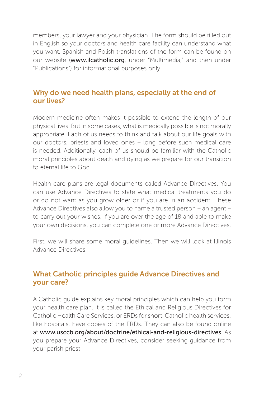members, your lawyer and your physician. The form should be filled out in English so your doctors and health care facility can understand what you want. Spanish and Polish translations of the form can be found on our website (www.ilcatholic.org, under "Multimedia," and then under "Publications") for informational purposes only.

# Why do we need health plans, especially at the end of our lives?

Modern medicine often makes it possible to extend the length of our physical lives. But in some cases, what is medically possible is not morally appropriate. Each of us needs to think and talk about our life goals with our doctors, priests and loved ones – long before such medical care is needed. Additionally, each of us should be familiar with the Catholic moral principles about death and dying as we prepare for our transition to eternal life to God.

Health care plans are legal documents called Advance Directives. You can use Advance Directives to state what medical treatments you do or do not want as you grow older or if you are in an accident. These Advance Directives also allow you to name a trusted person – an agent – to carry out your wishes. If you are over the age of 18 and able to make your own decisions, you can complete one or more Advance Directives.

First, we will share some moral guidelines. Then we will look at Illinois Advance Directives.

# What Catholic principles guide Advance Directives and your care?

A Catholic guide explains key moral principles which can help you form your health care plan. It is called the Ethical and Religious Directives for Catholic Health Care Services, or ERDs for short. Catholic health services, like hospitals, have copies of the ERDs. They can also be found online at www.usccb.org/about/doctrine/ethical-and-religious-directives. As you prepare your Advance Directives, consider seeking guidance from your parish priest.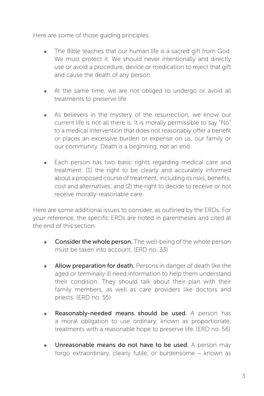Here are some of those guiding principles:

- The Bible teaches that our human life is a sacred gift from God. We must protect it. We should never intentionally and directly use or avoid a procedure, device or medication to reject that gift and cause the death of any person.
- At the same time, we are not obliged to undergo or avoid all treatments to preserve life.
- As believers in the mystery of the resurrection, we know our current life is not all there is. It is morally permissible to say "No" to a medical intervention that does not reasonably offer a benefit or places an excessive burden or expense on us, our family or our community. Death is a beginning, not an end.
- Each person has two basic rights regarding medical care and treatment: (1) the right to be clearly and accurately informed about a proposed course of treatment, including its risks, benefits, cost and alternatives; and (2) the right to decide to receive or not receive morally-reasonable care.

Here are some additional issues to consider, as outlined by the ERDs. For your reference, the specific ERDs are noted in parentheses and cited at the end of this section.

- **Consider the whole person.** The well-being of the whole person must be taken into account. (FRD no. 33).
- **Allow preparation for death.** Persons in danger of death like the aged or terminally ill need information to help them understand their condition. They should talk about their plan with their family members, as well as care providers like doctors and priests. (ERD no. 55)
- Reasonably-needed means should be used. A person has a moral obligation to use ordinary, known as proportionate, treatments with a reasonable hope to preserve life. (ERD no. 56)
- Unreasonable means do not have to be used. A person may forgo extraordinary, clearly futile, or burdensome – known as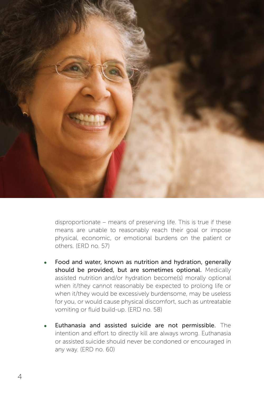

disproportionate – means of preserving life. This is true if these means are unable to reasonably reach their goal or impose physical, economic, or emotional burdens on the patient or others. (ERD no. 57)

- Food and water, known as nutrition and hydration, generally should be provided, but are sometimes optional. Medically assisted nutrition and/or hydration become(s) morally optional when it/they cannot reasonably be expected to prolong life or when it/they would be excessively burdensome, may be useless for you, or would cause physical discomfort, such as untreatable vomiting or fluid build-up. (ERD no. 58)
- Euthanasia and assisted suicide are not permissible. The intention and effort to directly kill are always wrong. Euthanasia or assisted suicide should never be condoned or encouraged in any way. (ERD no. 60)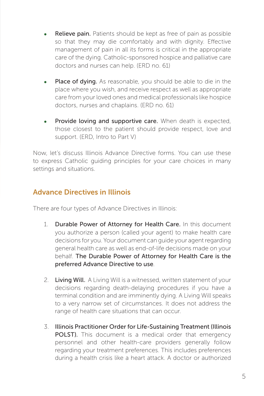- Relieve pain. Patients should be kept as free of pain as possible so that they may die comfortably and with dignity. Effective management of pain in all its forms is critical in the appropriate care of the dying. Catholic-sponsored hospice and palliative care doctors and nurses can help. (ERD no. 61)
- Place of dying. As reasonable, you should be able to die in the place where you wish, and receive respect as well as appropriate care from your loved ones and medical professionals like hospice doctors, nurses and chaplains. (ERD no. 61)
- Provide loving and supportive care. When death is expected, those closest to the patient should provide respect, love and support. (ERD, Intro to Part V)

Now, let's discuss Illinois Advance Directive forms. You can use these to express Catholic guiding principles for your care choices in many settings and situations.

# Advance Directives in Illinois

There are four types of Advance Directives in Illinois:

- 1. Durable Power of Attorney for Health Care. In this document you authorize a person (called your agent) to make health care decisions for you. Your document can guide your agent regarding general health care as well as end-of-life decisions made on your behalf. The Durable Power of Attorney for Health Care is the preferred Advance Directive to use.
- 2. Living Will. A Living Will is a witnessed, written statement of your decisions regarding death-delaying procedures if you have a terminal condition and are imminently dying. A Living Will speaks to a very narrow set of circumstances. It does not address the range of health care situations that can occur.
- 3. Illinois Practitioner Order for Life-Sustaining Treatment (Illinois **POLST).** This document is a medical order that emergency personnel and other health-care providers generally follow regarding your treatment preferences. This includes preferences during a health crisis like a heart attack. A doctor or authorized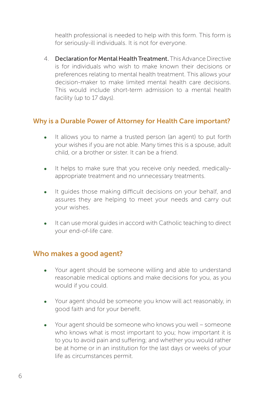health professional is needed to help with this form. This form is for seriously-ill individuals. It is not for everyone.

4. Declaration for Mental Health Treatment. This Advance Directive is for individuals who wish to make known their decisions or preferences relating to mental health treatment. This allows your decision-maker to make limited mental health care decisions. This would include short-term admission to a mental health facility (up to 17 days).

## Why is a Durable Power of Attorney for Health Care important?

- It allows you to name a trusted person (an agent) to put forth your wishes if you are not able. Many times this is a spouse, adult child, or a brother or sister. It can be a friend.
- It helps to make sure that you receive only needed, medicallyappropriate treatment and no unnecessary treatments.
- It guides those making difficult decisions on your behalf, and assures they are helping to meet your needs and carry out your wishes.
- It can use moral quides in accord with Catholic teaching to direct your end-of-life care.

# Who makes a good agent?

- Your agent should be someone willing and able to understand reasonable medical options and make decisions for you, as you would if you could.
- Your agent should be someone you know will act reasonably, in good faith and for your benefit.
- Your agent should be someone who knows you well someone who knows what is most important to you; how important it is to you to avoid pain and suffering; and whether you would rather be at home or in an institution for the last days or weeks of your life as circumstances permit.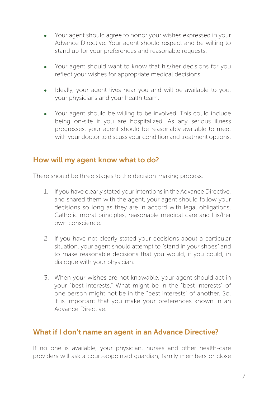- Your agent should agree to honor your wishes expressed in your Advance Directive. Your agent should respect and be willing to stand up for your preferences and reasonable requests.
- Your agent should want to know that his/her decisions for you reflect your wishes for appropriate medical decisions.
- Ideally, your agent lives near you and will be available to you, your physicians and your health team.
- Your agent should be willing to be involved. This could include being on-site if you are hospitalized. As any serious illness progresses, your agent should be reasonably available to meet with your doctor to discuss your condition and treatment options.

## How will my agent know what to do?

There should be three stages to the decision-making process:

- 1. If you have clearly stated your intentions in the Advance Directive, and shared them with the agent, your agent should follow your decisions so long as they are in accord with legal obligations, Catholic moral principles, reasonable medical care and his/her own conscience.
- 2. If you have not clearly stated your decisions about a particular situation, your agent should attempt to "stand in your shoes" and to make reasonable decisions that you would, if you could, in dialogue with your physician.
- 3. When your wishes are not knowable, your agent should act in your "best interests." What might be in the "best interests" of one person might not be in the "best interests" of another. So, it is important that you make your preferences known in an Advance Directive.

# What if I don't name an agent in an Advance Directive?

If no one is available, your physician, nurses and other health-care providers will ask a court-appointed guardian, family members or close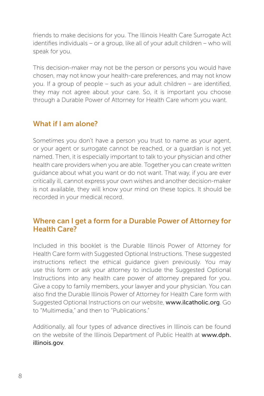friends to make decisions for you. The Illinois Health Care Surrogate Act identifies individuals – or a group, like all of your adult children – who will speak for you.

This decision-maker may not be the person or persons you would have chosen, may not know your health-care preferences, and may not know you. If a group of people – such as your adult children – are identified, they may not agree about your care. So, it is important you choose through a Durable Power of Attorney for Health Care whom you want.

# What if I am alone?

Sometimes you don't have a person you trust to name as your agent, or your agent or surrogate cannot be reached, or a guardian is not yet named. Then, it is especially important to talk to your physician and other health care providers when you are able. Together you can create written guidance about what you want or do not want. That way, if you are ever critically ill, cannot express your own wishes and another decision-maker is not available, they will know your mind on these topics. It should be recorded in your medical record.

# Where can I get a form for a Durable Power of Attorney for Health Care?

Included in this booklet is the Durable Illinois Power of Attorney for Health Care form with Suggested Optional Instructions. These suggested instructions reflect the ethical guidance given previously. You may use this form or ask your attorney to include the Suggested Optional Instructions into any health care power of attorney prepared for you. Give a copy to family members, your lawyer and your physician. You can also find the Durable Illinois Power of Attorney for Health Care form with Suggested Optional Instructions on our website, www.ilcatholic.org. Go to "Multimedia" and then to "Publications"

Additionally, all four types of advance directives in Illinois can be found on the website of the Illinois Department of Public Health at www.dph. illinois.gov.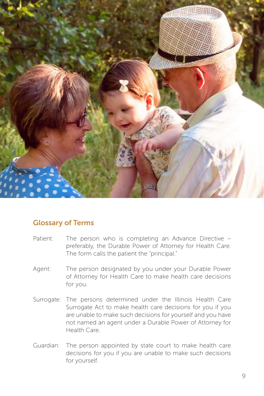

## Glossary of Terms

- Patient: The person who is completing an Advance Directive preferably, the Durable Power of Attorney for Health Care. The form calls the patient the "principal."
- Agent: The person designated by you under your Durable Power of Attorney for Health Care to make health care decisions for you.
- Surrogate: The persons determined under the Illinois Health Care Surrogate Act to make health care decisions for you if you are unable to make such decisions for yourself and you have not named an agent under a Durable Power of Attorney for Health Care.
- Guardian: The person appointed by state court to make health care decisions for you if you are unable to make such decisions for yourself.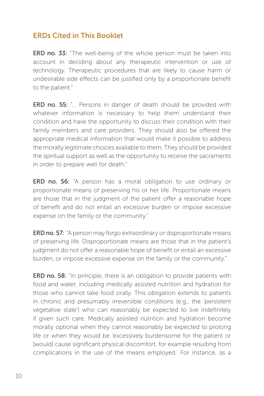# ERDs Cited in This Booklet

**ERD no. 33:** "The well-being of the whole person must be taken into account in deciding about any therapeutic intervention or use of technology. Therapeutic procedures that are likely to cause harm or undesirable side effects can be justified only by a proportionate benefit to the patient."

ERD no. 55: "... Persons in danger of death should be provided with whatever information is necessary to help them understand their condition and have the opportunity to discuss their condition with their family members and care providers. They should also be offered the appropriate medical information that would make it possible to address the morally legitimate choices available to them. They should be provided the spiritual support as well as the opportunity to receive the sacraments in order to prepare well for death."

ERD no. 56: "A person has a moral obligation to use ordinary or proportionate means of preserving his or her life. Proportionate means are those that in the judgment of the patient offer a reasonable hope of benefit and do not entail an excessive burden or impose excessive expense on the family or the community."

**ERD no. 57:** "A person may forgo extraordinary or disproportionate means of preserving life. Disproportionate means are those that in the patient's judgment do not offer a reasonable hope of benefit or entail an excessive burden, or impose excessive expense on the family or the community."

**ERD no. 58:** "In principle, there is an obligation to provide patients with food and water, including medically assisted nutrition and hydration for those who cannot take food orally. This obligation extends to patients in chronic and presumably irreversible conditions (e.g., the 'persistent vegetative state') who can reasonably be expected to live indefinitely if given such care. Medically assisted nutrition and hydration become morally optional when they cannot reasonably be expected to prolong life or when they would be 'excessively burdensome for the patient or [would] cause significant physical discomfort, for example resulting from complications in the use of the means employed.' For instance, as a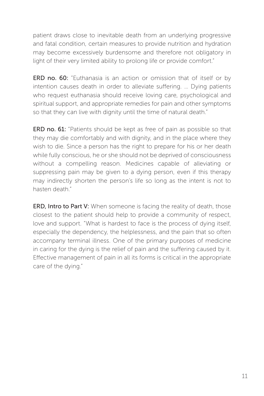patient draws close to inevitable death from an underlying progressive and fatal condition, certain measures to provide nutrition and hydration may become excessively burdensome and therefore not obligatory in light of their very limited ability to prolong life or provide comfort."

**ERD no. 60:** "Euthanasia is an action or omission that of itself or by intention causes death in order to alleviate suffering. … Dying patients who request euthanasia should receive loving care, psychological and spiritual support, and appropriate remedies for pain and other symptoms so that they can live with dignity until the time of natural death."

**ERD no. 61:** "Patients should be kept as free of pain as possible so that they may die comfortably and with dignity, and in the place where they wish to die. Since a person has the right to prepare for his or her death while fully conscious, he or she should not be deprived of consciousness without a compelling reason. Medicines capable of alleviating or suppressing pain may be given to a dying person, even if this therapy may indirectly shorten the person's life so long as the intent is not to hasten death."

ERD, Intro to Part V: When someone is facing the reality of death, those closest to the patient should help to provide a community of respect, love and support. "What is hardest to face is the process of dying itself, especially the dependency, the helplessness, and the pain that so often accompany terminal illness. One of the primary purposes of medicine in caring for the dying is the relief of pain and the suffering caused by it. Effective management of pain in all its forms is critical in the appropriate care of the dying."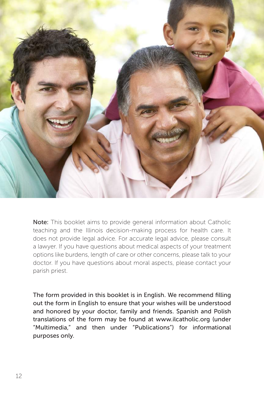

Note: This booklet aims to provide general information about Catholic teaching and the Illinois decision-making process for health care. It does not provide legal advice. For accurate legal advice, please consult a lawyer. If you have questions about medical aspects of your treatment options like burdens, length of care or other concerns, please talk to your doctor. If you have questions about moral aspects, please contact your parish priest.

The form provided in this booklet is in English. We recommend filling out the form in English to ensure that your wishes will be understood and honored by your doctor, family and friends. Spanish and Polish translations of the form may be found at www.ilcatholic.org (under "Multimedia," and then under "Publications") for informational purposes only.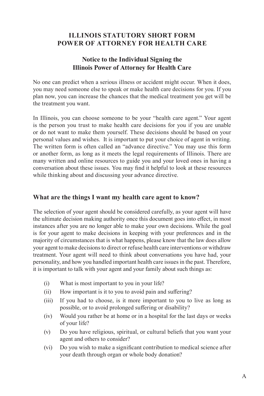## **ILLINOIS STATUTORY SHORT FORM POWER OF ATTORNEY FOR HEALTH CARE**

#### **Notice to the Individual Signing the Illinois Power of Attorney for Health Care**

No one can predict when a serious illness or accident might occur. When it does, you may need someone else to speak or make health care decisions for you. If you plan now, you can increase the chances that the medical treatment you get will be the treatment you want.

In Illinois, you can choose someone to be your "health care agent." Your agent is the person you trust to make health care decisions for you if you are unable or do not want to make them yourself. These decisions should be based on your personal values and wishes. It is important to put your choice of agent in writing. The written form is often called an "advance directive." You may use this form or another form, as long as it meets the legal requirements of Illinois. There are many written and online resources to guide you and your loved ones in having a conversation about these issues. You may find it helpful to look at these resources while thinking about and discussing your advance directive.

#### **What are the things I want my health care agent to know?**

The selection of your agent should be considered carefully, as your agent will have the ultimate decision making authority once this document goes into effect, in most instances after you are no longer able to make your own decisions. While the goal is for your agent to make decisions in keeping with your preferences and in the majority of circumstances that is what happens, please know that the law does allow your agent to make decisions to direct or refuse health care interventions or withdraw treatment. Your agent will need to think about conversations you have had, your personality, and how you handled important health care issues in the past. Therefore, it is important to talk with your agent and your family about such things as:

- (i) What is most important to you in your life?
- (ii) How important is it to you to avoid pain and suffering?
- (iii) If you had to choose, is it more important to you to live as long as possible, or to avoid prolonged suffering or disability?
- (iv) Would you rather be at home or in a hospital for the last days or weeks of your life?
- (v) Do you have religious, spiritual, or cultural beliefs that you want your agent and others to consider?
- (vi) Do you wish to make a significant contribution to medical science after your death through organ or whole body donation?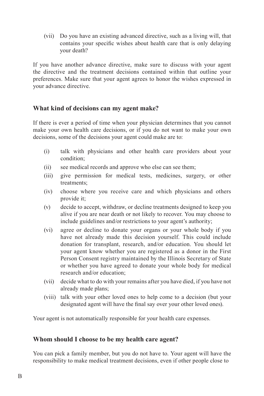(vii) Do you have an existing advanced directive, such as a living will, that contains your specific wishes about health care that is only delaying your death?

If you have another advance directive, make sure to discuss with your agent the directive and the treatment decisions contained within that outline your preferences. Make sure that your agent agrees to honor the wishes expressed in your advance directive.

#### **What kind of decisions can my agent make?**

If there is ever a period of time when your physician determines that you cannot make your own health care decisions, or if you do not want to make your own decisions, some of the decisions your agent could make are to:

- (i) talk with physicians and other health care providers about your condition;
- (ii) see medical records and approve who else can see them;
- (iii) give permission for medical tests, medicines, surgery, or other treatments;
- (iv) choose where you receive care and which physicians and others provide it;
- (v) decide to accept, withdraw, or decline treatments designed to keep you alive if you are near death or not likely to recover. You may choose to include guidelines and/or restrictions to your agent's authority;
- (vi) agree or decline to donate your organs or your whole body if you have not already made this decision yourself. This could include donation for transplant, research, and/or education. You should let your agent know whether you are registered as a donor in the First Person Consent registry maintained by the Illinois Secretary of State or whether you have agreed to donate your whole body for medical research and/or education;
- (vii) decide what to do with your remains after you have died, if you have not already made plans;
- (viii) talk with your other loved ones to help come to a decision (but your designated agent will have the final say over your other loved ones).

Your agent is not automatically responsible for your health care expenses.

## **Whom should I choose to be my health care agent?**

You can pick a family member, but you do not have to. Your agent will have the responsibility to make medical treatment decisions, even if other people close to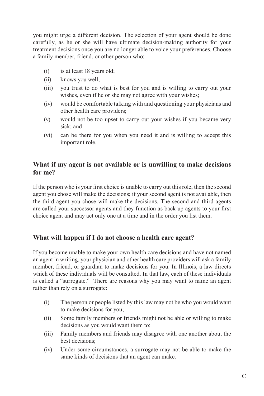you might urge a different decision. The selection of your agent should be done carefully, as he or she will have ultimate decision-making authority for your treatment decisions once you are no longer able to voice your preferences. Choose a family member, friend, or other person who:

- (i) is at least 18 years old;
- (ii) knows you well;
- (iii) you trust to do what is best for you and is willing to carry out your wishes, even if he or she may not agree with your wishes;
- (iv) would be comfortable talking with and questioning your physicians and other health care providers;
- (v) would not be too upset to carry out your wishes if you became very sick; and
- (vi) can be there for you when you need it and is willing to accept this important role.

## **What if my agent is not available or is unwilling to make decisions for me?**

If the person who is your first choice is unable to carry out this role, then the second agent you chose will make the decisions; if your second agent is not available, then the third agent you chose will make the decisions. The second and third agents are called your successor agents and they function as back-up agents to your first choice agent and may act only one at a time and in the order you list them.

## **What will happen if I do not choose a health care agent?**

If you become unable to make your own health care decisions and have not named an agent in writing, your physician and other health care providers will ask a family member, friend, or guardian to make decisions for you. In Illinois, a law directs which of these individuals will be consulted. In that law, each of these individuals is called a "surrogate." There are reasons why you may want to name an agent rather than rely on a surrogate:

- (i) The person or people listed by this law may not be who you would want to make decisions for you;
- (ii) Some family members or friends might not be able or willing to make decisions as you would want them to;
- (iii) Family members and friends may disagree with one another about the best decisions;
- (iv) Under some circumstances, a surrogate may not be able to make the same kinds of decisions that an agent can make.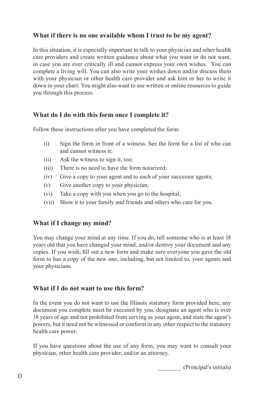## **What if there is no one available whom I trust to be my agent?**

In this situation, it is especially important to talk to your physician and other health care providers and create written guidance about what you want or do not want, in case you are ever critically ill and cannot express your own wishes. You can complete a living will. You can also write your wishes down and/or discuss them with your physician or other health care provider and ask him or her to write it down in your chart. You might also want to use written or online resources to guide you through this process.

## **What do I do with this form once I complete it?**

Follow these instructions after you have completed the form:

- (i) Sign the form in front of a witness. See the form for a list of who can and cannot witness it;
- (ii) Ask the witness to sign it, too;
- (iii) There is no need to have the form notarized;
- (iv) Give a copy to your agent and to each of your successor agents;
- (v) Give another copy to your physician;
- (vi) Take a copy with you when you go to the hospital;
- (vii) Show it to your family and friends and others who care for you.

## **What if I change my mind?**

You may change your mind at any time. If you do, tell someone who is at least 18 years old that you have changed your mind, and/or destroy your document and any copies. If you wish, fill out a new form and make sure everyone you gave the old form to has a copy of the new one, including, but not limited to, your agents and your physicians.

## **What if I do not want to use this form?**

In the event you do not want to use the Illinois statutory form provided here, any document you complete must be executed by you, designate an agent who is over 18 years of age and not prohibited from serving as your agent, and state the agent's powers, but it need not be witnessed or conform in any other respect to the statutory health care power.

If you have questions about the use of any form, you may want to consult your physician, other health care provider, and/or an attorney.

\_\_\_\_\_\_\_\_\_ (Principal's initials)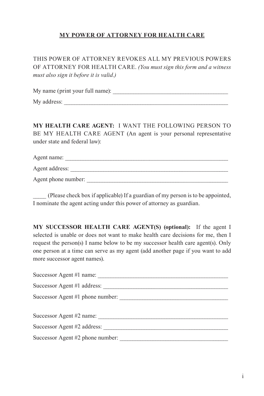## **MY POWER OF ATTORNEY FOR HEALTH CARE**

THIS POWER OF ATTORNEY REVOKES ALL MY PREVIOUS POWERS OF ATTORNEY FOR HEALTH CARE. *(You must sign this form and a witness must also sign it before it is valid.)*

My name (print your full name):

My address:

**MY HEALTH CARE AGENT:** I WANT THE FOLLOWING PERSON TO BE MY HEALTH CARE AGENT (An agent is your personal representative under state and federal law):

| Agent name:         |
|---------------------|
| Agent address:      |
| Agent phone number: |

\_\_\_\_\_ (Please check box if applicable) If a guardian of my person is to be appointed, I nominate the agent acting under this power of attorney as guardian.

**MY SUCCESSOR HEALTH CARE AGENT(S) (optional):** If the agent I selected is unable or does not want to make health care decisions for me, then I request the person(s) I name below to be my successor health care agent(s). Only one person at a time can serve as my agent (add another page if you want to add more successor agent names).

| Successor Agent #1 name:         |
|----------------------------------|
| Successor Agent #1 address:      |
| Successor Agent #1 phone number: |
|                                  |
| Successor Agent #2 name:         |
| Successor Agent #2 address:      |
| Successor Agent #2 phone number: |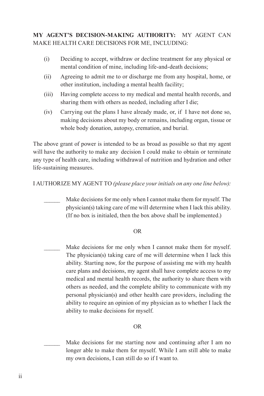#### **MY AGENT'S DECISION-MAKING AUTHORITY:** MY AGENT CAN MAKE HEALTH CARE DECISIONS FOR ME, INCLUDING:

- (i) Deciding to accept, withdraw or decline treatment for any physical or mental condition of mine, including life-and-death decisions;
- (ii) Agreeing to admit me to or discharge me from any hospital, home, or other institution, including a mental health facility;
- (iii) Having complete access to my medical and mental health records, and sharing them with others as needed, including after I die;
- (iv) Carrying out the plans I have already made, or, if I have not done so, making decisions about my body or remains, including organ, tissue or whole body donation, autopsy, cremation, and burial.

The above grant of power is intended to be as broad as possible so that my agent will have the authority to make any decision I could make to obtain or terminate any type of health care, including withdrawal of nutrition and hydration and other life-sustaining measures.

#### I AUTHORIZE MY AGENT TO *(please place your initials on any one line below):*

Make decisions for me only when I cannot make them for myself. The physician(s) taking care of me will determine when I lack this ability. (If no box is initialed, then the box above shall be implemented.)

#### OR

Make decisions for me only when I cannot make them for myself. The physician(s) taking care of me will determine when I lack this ability. Starting now, for the purpose of assisting me with my health care plans and decisions, my agent shall have complete access to my medical and mental health records, the authority to share them with others as needed, and the complete ability to communicate with my personal physician(s) and other health care providers, including the ability to require an opinion of my physician as to whether I lack the ability to make decisions for myself.

#### OR

Make decisions for me starting now and continuing after I am no longer able to make them for myself. While I am still able to make my own decisions, I can still do so if I want to.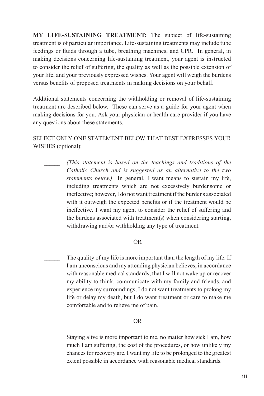**MY LIFE-SUSTAINING TREATMENT:** The subject of life-sustaining treatment is of particular importance. Life-sustaining treatments may include tube feedings or fluids through a tube, breathing machines, and CPR. In general, in making decisions concerning life-sustaining treatment, your agent is instructed to consider the relief of suffering, the quality as well as the possible extension of your life, and your previously expressed wishes. Your agent will weigh the burdens versus benefits of proposed treatments in making decisions on your behalf.

Additional statements concerning the withholding or removal of life-sustaining treatment are described below. These can serve as a guide for your agent when making decisions for you. Ask your physician or health care provider if you have any questions about these statements.

## SELECT ONLY ONE STATEMENT BELOW THAT BEST EXPRESSES YOUR WISHES (optional):

\_\_\_\_\_\_ *(This statement is based on the teachings and traditions of the Catholic Church and is suggested as an alternative to the two statements below.)* In general, I want means to sustain my life, including treatments which are not excessively burdensome or ineffective; however, I do not want treatment if the burdens associated with it outweigh the expected benefits or if the treatment would be ineffective. I want my agent to consider the relief of suffering and the burdens associated with treatment(s) when considering starting, withdrawing and/or withholding any type of treatment.

#### OR

The quality of my life is more important than the length of my life. If I am unconscious and my attending physician believes, in accordance with reasonable medical standards, that I will not wake up or recover my ability to think, communicate with my family and friends, and experience my surroundings, I do not want treatments to prolong my life or delay my death, but I do want treatment or care to make me comfortable and to relieve me of pain.

#### OR

Staying alive is more important to me, no matter how sick I am, how much I am suffering, the cost of the procedures, or how unlikely my chances for recovery are. I want my life to be prolonged to the greatest extent possible in accordance with reasonable medical standards.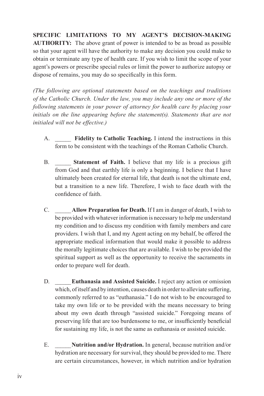**SPECIFIC LIMITATIONS TO MY AGENT'S DECISION-MAKING AUTHORITY:** The above grant of power is intended to be as broad as possible so that your agent will have the authority to make any decision you could make to obtain or terminate any type of health care. If you wish to limit the scope of your agent's powers or prescribe special rules or limit the power to authorize autopsy or dispose of remains, you may do so specifically in this form.

*(The following are optional statements based on the teachings and traditions of the Catholic Church. Under the law, you may include any one or more of the following statements in your power of attorney for health care by placing your initials on the line appearing before the statement(s). Statements that are not initialed will not be effective.)*

- A. \_\_\_\_\_\_ **Fidelity to Catholic Teaching.** I intend the instructions in this form to be consistent with the teachings of the Roman Catholic Church.
- B. **Statement of Faith.** I believe that my life is a precious gift from God and that earthly life is only a beginning. I believe that I have ultimately been created for eternal life, that death is not the ultimate end, but a transition to a new life. Therefore, I wish to face death with the confidence of faith.
- C. \_\_\_\_\_\_ **Allow Preparation for Death.** If I am in danger of death, I wish to be provided with whatever information is necessary to help me understand my condition and to discuss my condition with family members and care providers. I wish that I, and my Agent acting on my behalf, be offered the appropriate medical information that would make it possible to address the morally legitimate choices that are available. I wish to be provided the spiritual support as well as the opportunity to receive the sacraments in order to prepare well for death.
- D. **Euthanasia and Assisted Suicide.** I reject any action or omission which, of itself and by intention, causes death in order to alleviate suffering, commonly referred to as "euthanasia." I do not wish to be encouraged to take my own life or to be provided with the means necessary to bring about my own death through "assisted suicide." Foregoing means of preserving life that are too burdensome to me, or insufficiently beneficial for sustaining my life, is not the same as euthanasia or assisted suicide.
- E. \_\_\_\_\_\_ **Nutrition and/or Hydration.** In general, because nutrition and/or hydration are necessary for survival, they should be provided to me. There are certain circumstances, however, in which nutrition and/or hydration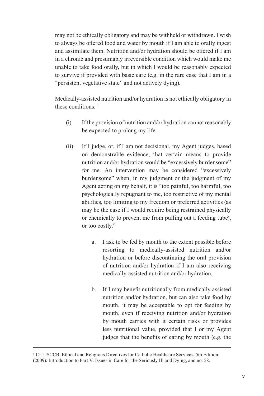may not be ethically obligatory and may be withheld or withdrawn. I wish to always be offered food and water by mouth if I am able to orally ingest and assimilate them. Nutrition and/or hydration should be offered if I am in a chronic and presumably irreversible condition which would make me unable to take food orally, but in which I would be reasonably expected to survive if provided with basic care (e.g. in the rare case that I am in a "persistent vegetative state" and not actively dying).

Medically-assisted nutrition and/or hydration is not ethically obligatory in these conditions: <sup>1</sup>

- (i) If the provision of nutrition and/or hydration cannot reasonably be expected to prolong my life.
- (ii) If I judge, or, if I am not decisional, my Agent judges, based on demonstrable evidence, that certain means to provide nutrition and/or hydration would be "excessively burdensome" for me. An intervention may be considered "excessively burdensome" when, in my judgment or the judgment of my Agent acting on my behalf, it is "too painful, too harmful, too psychologically repugnant to me, too restrictive of my mental abilities, too limiting to my freedom or preferred activities (as may be the case if I would require being restrained physically or chemically to prevent me from pulling out a feeding tube), or too costly."
	- a. I ask to be fed by mouth to the extent possible before resorting to medically-assisted nutrition and/or hydration or before discontinuing the oral provision of nutrition and/or hydration if I am also receiving medically-assisted nutrition and/or hydration.
	- b. If I may benefit nutritionally from medically assisted nutrition and/or hydration, but can also take food by mouth, it may be acceptable to opt for feeding by mouth, even if receiving nutrition and/or hydration by mouth carries with it certain risks or provides less nutritional value, provided that I or my Agent judges that the benefits of eating by mouth (e.g. the

<sup>&</sup>lt;sup>1</sup> Cf. USCCB, Ethical and Religious Directives for Catholic Healthcare Services, 5th Edition (2009): Introduction to Part V: Issues in Care for the Seriously Ill and Dying, and no. 58.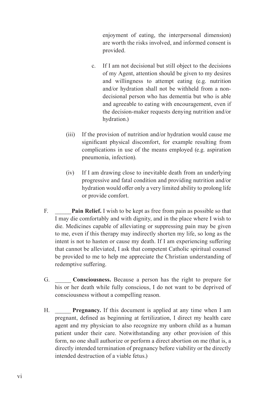enjoyment of eating, the interpersonal dimension) are worth the risks involved, and informed consent is provided.

- c. If I am not decisional but still object to the decisions of my Agent, attention should be given to my desires and willingness to attempt eating (e.g. nutrition and/or hydration shall not be withheld from a nondecisional person who has dementia but who is able and agreeable to eating with encouragement, even if the decision-maker requests denying nutrition and/or hydration.)
- (iii) If the provision of nutrition and/or hydration would cause me significant physical discomfort, for example resulting from complications in use of the means employed (e.g. aspiration pneumonia, infection).
- (iv) If I am drawing close to inevitable death from an underlying progressive and fatal condition and providing nutrition and/or hydration would offer only a very limited ability to prolong life or provide comfort.
- F. \_\_\_\_\_\_ **Pain Relief.** I wish to be kept as free from pain as possible so that I may die comfortably and with dignity, and in the place where I wish to die. Medicines capable of alleviating or suppressing pain may be given to me, even if this therapy may indirectly shorten my life, so long as the intent is not to hasten or cause my death. If I am experiencing suffering that cannot be alleviated, I ask that competent Catholic spiritual counsel be provided to me to help me appreciate the Christian understanding of redemptive suffering.
- G. \_\_\_\_\_\_ **Consciousness.** Because a person has the right to prepare for his or her death while fully conscious, I do not want to be deprived of consciousness without a compelling reason.
- H. **Pregnancy.** If this document is applied at any time when I am pregnant, defined as beginning at fertilization, I direct my health care agent and my physician to also recognize my unborn child as a human patient under their care. Notwithstanding any other provision of this form, no one shall authorize or perform a direct abortion on me (that is, a directly intended termination of pregnancy before viability or the directly intended destruction of a viable fetus.)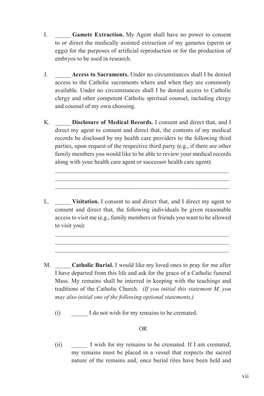- I. **Gamete Extraction.** My Agent shall have no power to consent to or direct the medically assisted extraction of my gametes (sperm or eggs) for the purposes of artificial reproduction or for the production of embryos to be used in research.
- J. \_\_\_\_\_\_ **Access to Sacraments.** Under no circumstances shall I be denied access to the Catholic sacraments where and when they are commonly available. Under no circumstances shall I be denied access to Catholic clergy and other competent Catholic spiritual counsel, including clergy and counsel of my own choosing.
- K. \_\_\_\_\_\_ **Disclosure of Medical Records.** I consent and direct that, and I direct my agent to consent and direct that, the contents of my medical records be disclosed by my health care providers to the following third parties, upon request of the respective third party (e.g., if there are other family members you would like to be able to review your medical records along with your health care agent or successor health care agent):

\_\_\_\_\_\_\_\_\_\_\_\_\_\_\_\_\_\_\_\_\_\_\_\_\_\_\_\_\_\_\_\_\_\_\_\_\_\_\_\_\_\_\_\_\_\_\_\_\_\_\_\_\_\_\_\_\_\_\_\_\_\_\_\_\_\_\_\_\_ \_\_\_\_\_\_\_\_\_\_\_\_\_\_\_\_\_\_\_\_\_\_\_\_\_\_\_\_\_\_\_\_\_\_\_\_\_\_\_\_\_\_\_\_\_\_\_\_\_\_\_\_\_\_\_\_\_\_\_\_\_\_\_\_\_\_\_\_\_ \_\_\_\_\_\_\_\_\_\_\_\_\_\_\_\_\_\_\_\_\_\_\_\_\_\_\_\_\_\_\_\_\_\_\_\_\_\_\_\_\_\_\_\_\_\_\_\_\_\_\_\_\_\_\_\_\_\_\_\_\_\_\_\_\_

L. **Visitation.** I consent to and direct that, and I direct my agent to consent and direct that, the following individuals be given reasonable access to visit me (e.g., family members or friends you want to be allowed to visit you):

\_\_\_\_\_\_\_\_\_\_\_\_\_\_\_\_\_\_\_\_\_\_\_\_\_\_\_\_\_\_\_\_\_\_\_\_\_\_\_\_\_\_\_\_\_\_\_\_\_\_\_\_\_\_\_\_\_\_\_\_\_\_\_\_\_\_\_\_\_ \_\_\_\_\_\_\_\_\_\_\_\_\_\_\_\_\_\_\_\_\_\_\_\_\_\_\_\_\_\_\_\_\_\_\_\_\_\_\_\_\_\_\_\_\_\_\_\_\_\_\_\_\_\_\_\_\_\_\_\_\_\_\_\_\_\_\_\_\_ \_\_\_\_\_\_\_\_\_\_\_\_\_\_\_\_\_\_\_\_\_\_\_\_\_\_\_\_\_\_\_\_\_\_\_\_\_\_\_\_\_\_\_\_\_\_\_\_\_\_\_\_\_\_\_\_\_\_\_\_\_\_\_\_\_

- M. **Catholic Burial.** I would like my loved ones to pray for me after I have departed from this life and ask for the grace of a Catholic funeral Mass. My remains shall be interred in keeping with the teachings and traditions of the Catholic Church. *(If you initial this statement M, you may also initial one of the following optional statements.)* 
	- (i) \_\_\_\_\_\_ I do not wish for my remains to be cremated.

#### OR

(ii) I wish for my remains to be cremated. If I am cremated, my remains must be placed in a vessel that respects the sacred nature of the remains and, once burial rites have been held and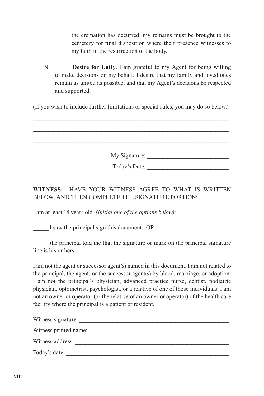the cremation has occurred, my remains must be brought to the cemetery for final disposition where their presence witnesses to my faith in the resurrection of the body.

N. **Desire for Unity.** I am grateful to my Agent for being willing to make decisions on my behalf. I desire that my family and loved ones remain as united as possible, and that my Agent's decisions be respected and supported.

(If you wish to include further limitations or special rules, you may do so below.)

\_\_\_\_\_\_\_\_\_\_\_\_\_\_\_\_\_\_\_\_\_\_\_\_\_\_\_\_\_\_\_\_\_\_\_\_\_\_\_\_\_\_\_\_\_\_\_\_\_\_\_\_\_\_\_\_\_\_\_\_\_\_\_\_\_\_\_\_\_\_\_\_\_\_\_\_\_\_ \_\_\_\_\_\_\_\_\_\_\_\_\_\_\_\_\_\_\_\_\_\_\_\_\_\_\_\_\_\_\_\_\_\_\_\_\_\_\_\_\_\_\_\_\_\_\_\_\_\_\_\_\_\_\_\_\_\_\_\_\_\_\_\_\_\_\_\_\_\_\_\_\_\_\_\_\_\_  $\mathcal{L}_\text{max}$  and  $\mathcal{L}_\text{max}$  and  $\mathcal{L}_\text{max}$  and  $\mathcal{L}_\text{max}$  and  $\mathcal{L}_\text{max}$  and  $\mathcal{L}_\text{max}$ My Signature: Today's Date: \_\_\_\_\_\_\_\_\_\_\_\_\_\_\_\_\_\_\_\_\_\_\_\_\_\_\_\_\_\_\_\_\_

### **WITNESS:** HAVE YOUR WITNESS AGREE TO WHAT IS WRITTEN BELOW, AND THEN COMPLETE THE SIGNATURE PORTION:

I am at least 18 years old. *(Initial one of the options below)*:

I saw the principal sign this document, OR

the principal told me that the signature or mark on the principal signature line is his or hers.

I am not the agent or successor agent(s) named in this document. I am not related to the principal, the agent, or the successor agent(s) by blood, marriage, or adoption. I am not the principal's physician, advanced practice nurse, dentist, podiatric physician, optometrist, psychologist, or a relative of one of those individuals. I am not an owner or operator (or the relative of an owner or operator) of the health care facility where the principal is a patient or resident.

| Witness signature:    |
|-----------------------|
| Witness printed name: |
| Witness address:      |
| Today's date:         |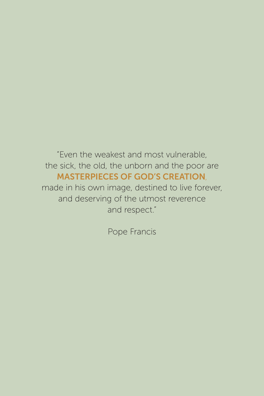"Even the weakest and most vulnerable, the sick, the old, the unborn and the poor are MASTERPIECES OF GOD'S CREATION,

made in his own image, destined to live forever, and deserving of the utmost reverence and respect."

Pope Francis